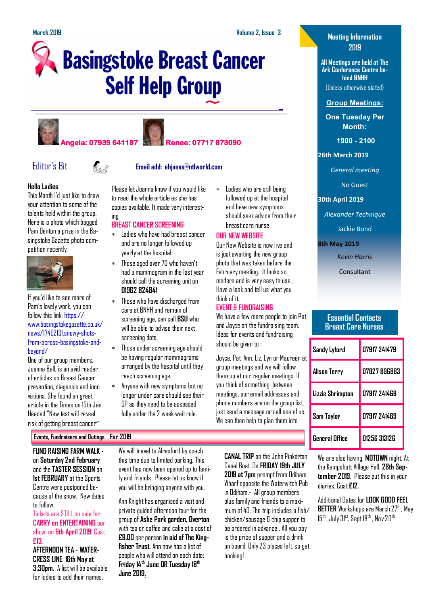Ladies who are still being followed up at the hospital and have new symptoms should seek advice from their

breast care nurse **OUR NEW WEBSITE**

think of it.

**EVENT & FUNDRAISING**

should be given to :

We have a few more people to join Pat and Joyce on the fundraising team. Ideas for events and fundraising

Joyce, Pat, Ann, Liz, Lyn or Maureen at group meetings and we will follow them up at our regular meetings. If you think of something between meetings, our email addresses and phone numbers are on the group list, just send a message or call one of us. We can then help to plan them into

Our New Website is now live and is just awaiting the new group photo that was taken before the February meeting. It looks so modern and is very easy to use.. Have a look and tell us what you

# **Basingstoke Breast Cancer Self Help Group**





ing





### Editor's Bit **Email add: ehjanes@ntlworld.com**

Please let Joanna know if you would like to read the whole article as she has copies available. It made very interest-

 $\ast$  Ladies who have had breast cancer and are no longer followed up yearly at the hospital: Those aged over 70 who haven't had a mammogram in the last year should call the screening unit on

 Those who have discharged from care at BNHH and remain of screening age, can call **BSU** who will be able to advise their next

 Those under screening age should be having regular mammograms arranged by the hospital until they

 Anyone with new symptoms but no longer under care should see their GP as they need to be assessed fully under the 2 week wait rule.

**BREAST CANCER SCREENING**

**01962 824841**

screening date.

reach screening age.

**Hello Ladies**.

This Month I'd just like to draw your attention to some of the talents held within the group. Here is a photo which bagged Pam Denton a prize in the Basingstoke Gazette photo competition recently.



If you'd like to see more of Pam's lovely work, you can follow this link: [https://](https://www.basingstokegazette.co.uk/news/17402131.snowy-shots-from-across-basingstoke-and-beyond/) [www.basingstokegazette.co.uk/](https://www.basingstokegazette.co.uk/news/17402131.snowy-shots-from-across-basingstoke-and-beyond/) [news/17402131.snowy-shots](https://www.basingstokegazette.co.uk/news/17402131.snowy-shots-from-across-basingstoke-and-beyond/)[from-across-basingstoke-and](https://www.basingstokegazette.co.uk/news/17402131.snowy-shots-from-across-basingstoke-and-beyond/)[beyond/](https://www.basingstokegazette.co.uk/news/17402131.snowy-shots-from-across-basingstoke-and-beyond/)

One of our group members, Joanna Bell, is an avid reader of articles on Breast Cancer prevention, diagnosis and innovations. She found an great article in the Times on 15th Jan Headed "New test will reveal risk of getting breast cancer"

### **Events, Fundraisers and Outings For 2019**

**FUND RAISING FARM WALK**  on **Saturday 2nd February**  and the **TASTER SESSION** on **1st FEBRUARY** at the Sports Centre were postponed because of the snow. New dates to follow.

Tickets are STILL on sale for **CARRY on ENTERTAINING** our show, on **6th April 2019**. Cost. **£13**.

**AFTERNOON TEA - WATER-CRESS LINE**. **16th May at 3:30pm.** A list will be available for ladies to add their names,

We will travel to Alresford by coach this time due to limited parking. This event has now been opened up to family and friends . Please let us know if you will be bringing anyone with you.

Ann Knight has organised a visit and private guided afternoon tour for the group of **Ashe Park garden, Overton**  with tea or coffee and cake at a cost of **£9.00** per person **in aid of The Kingfisher Trust.** Ann now has a list of people who will attend on each date**: Friday 14th June OR Tuesday 18th June 2019.** 

**CANAL TRIP** on the John Pinkerton Canal Boat. On **FRIDAY 19th JULY 2019 at 7pm** prompt from Odiham Wharf opposite the Waterwitch Pub in Odiham.- All group members plus family and friends to a maximum of 40. The trip includes a fish/ chicken/sausage & chip supper to be ordered in advance . All you pay is the price of supper and a drink on board. Only 23 places left, so get booking!

### **Meeting Information 2019**

**All Meetings are held at The Ark Conference Centre behind BNHH** (Unless otherwise stated)

**Group Meetings:**

**One Tuesday Per Month:**

**1900 - 2100** 

### **26th March 2019**

*General meeting*

No Guest

### **30th April 2019**

*Alexander Technique*

Jackie Bond

**8th May 2019**

*Kevin Harris*

Consultant

### **Essential Contacts Breast Care Nurses**

| Sandy Lyford     | 07917 741479 |
|------------------|--------------|
| Alison Terry     | 07827 896883 |
| Lizzie Shrimpton | 07917 241469 |
| Sam Taylor       | 07917 241469 |
| General Office   | N1256 313126 |

We are also having. **MOTOWN** night. At the Kempshott Village Hall. **28th September 2019**. Please put this in your diaries. Cost **£12.**

Additional Dates for **LOOK GOOD FEEL BETTER** Workshops are March 27<sup>th</sup>, May 15<sup>th</sup>, July 31<sup>st</sup>, Sept 18<sup>th</sup>, Nov 20<sup>th</sup>